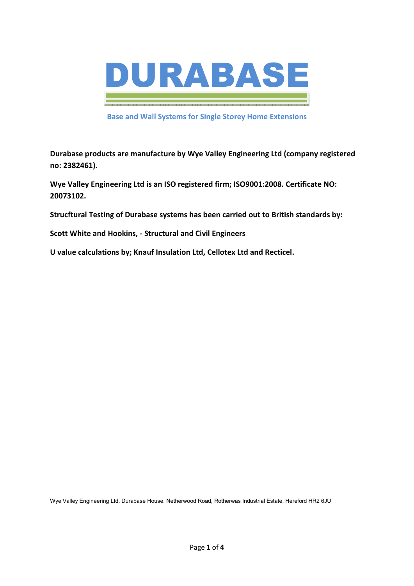

**Base and Wall Systems for Single Storey Home Extensions** 

**Durabase products are manufacture by Wye Valley Engineering Ltd (company registered no: 2382461).** 

**Wye Valley Engineering Ltd is an ISO registered firm; ISO9001:2008. Certificate NO: 20073102.** 

**Strucftural Testing of Durabase systems has been carried out to British standards by:** 

**Scott White and Hookins, - Structural and Civil Engineers** 

**U value calculations by; Knauf Insulation Ltd, Cellotex Ltd and Recticel.** 

Wye Valley Engineering Ltd. Durabase House. Netherwood Road, Rotherwas Industrial Estate, Hereford HR2 6JU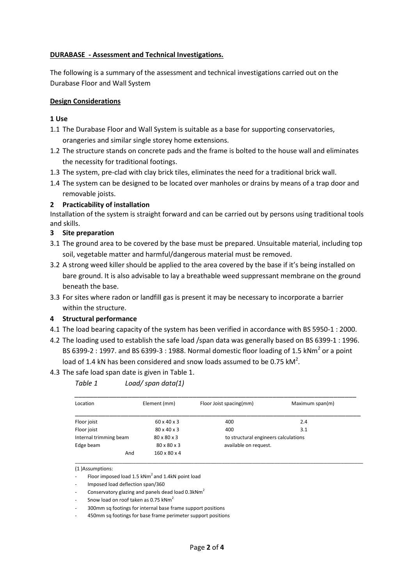### **DURABASE - Assessment and Technical Investigations.**

The following is a summary of the assessment and technical investigations carried out on the Durabase Floor and Wall System

#### **Design Considerations**

### **1 Use**

- 1.1 The Durabase Floor and Wall System is suitable as a base for supporting conservatories, orangeries and similar single storey home extensions.
- 1.2 The structure stands on concrete pads and the frame is bolted to the house wall and eliminates the necessity for traditional footings.
- 1.3 The system, pre-clad with clay brick tiles, eliminates the need for a traditional brick wall.
- 1.4 The system can be designed to be located over manholes or drains by means of a trap door and removable joists.

### **2 Practicability of installation**

Installation of the system is straight forward and can be carried out by persons using traditional tools and skills.

### **3 Site preparation**

- 3.1 The ground area to be covered by the base must be prepared. Unsuitable material, including top soil, vegetable matter and harmful/dangerous material must be removed.
- 3.2 A strong weed killer should be applied to the area covered by the base if it's being installed on bare ground. It is also advisable to lay a breathable weed suppressant membrane on the ground beneath the base.
- 3.3 For sites where radon or landfill gas is present it may be necessary to incorporate a barrier within the structure.

#### **4 Structural performance**

- 4.1 The load bearing capacity of the system has been verified in accordance with BS 5950-1 : 2000.
- 4.2 The loading used to establish the safe load /span data was generally based on BS 6399-1 : 1996. BS 6399-2 : 1997. and BS 6399-3 : 1988. Normal domestic floor loading of 1.5 kNm<sup>2</sup> or a point load of 1.4 kN has been considered and snow loads assumed to be 0.75 kM<sup>2</sup>.
- 4.3 The safe load span date is given in Table 1.

*Table 1 Load/ span data(1)* 

| Location               | Element (mm)             | Floor Joist spacing(mm) | Maximum span(m)                      |  |
|------------------------|--------------------------|-------------------------|--------------------------------------|--|
| Floor joist            | $60 \times 40 \times 3$  | 400                     | 2.4                                  |  |
| Floor joist            | 80 x 40 x 3              | 400                     | 3.1                                  |  |
| Internal trimming beam | 80 x 80 x 3              |                         | to structural engineers calculations |  |
| Edge beam              | 80 x 80 x 3              | available on request.   |                                      |  |
| And                    | $160 \times 80 \times 4$ |                         |                                      |  |

<sup>(1 )</sup>Assumptions:

- Conservatory glazing and panels dead load  $0.3$ kNm<sup>2</sup>
- Snow load on roof taken as 0.75 kNm<sup>2</sup>

- 300mm sq footings for internal base frame support positions

- 450mm sq footings for base frame perimeter support positions

Floor imposed load 1.5  $kNm^2$  and 1.4kN point load

<sup>-</sup> Imposed load deflection span/360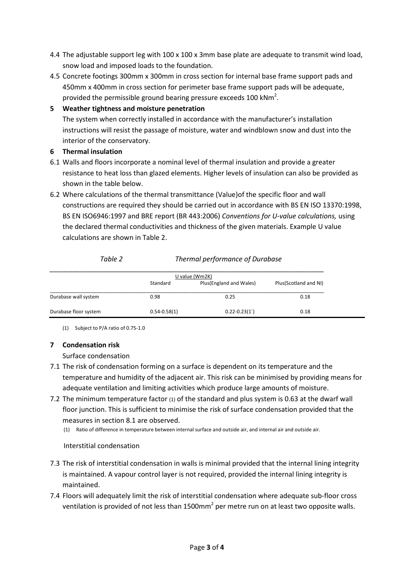- 4.4 The adjustable support leg with 100 x 100 x 3mm base plate are adequate to transmit wind load, snow load and imposed loads to the foundation.
- 4.5 Concrete footings 300mm x 300mm in cross section for internal base frame support pads and 450mm x 400mm in cross section for perimeter base frame support pads will be adequate, provided the permissible ground bearing pressure exceeds 100 kNm<sup>2</sup>.

# **5 Weather tightness and moisture penetration**

The system when correctly installed in accordance with the manufacturer's installation instructions will resist the passage of moisture, water and windblown snow and dust into the interior of the conservatory.

## **6 Thermal insulation**

- 6.1 Walls and floors incorporate a nominal level of thermal insulation and provide a greater resistance to heat loss than glazed elements. Higher levels of insulation can also be provided as shown in the table below.
- 6.2 Where calculations of the thermal transmittance (Value)of the specific floor and wall constructions are required they should be carried out in accordance with BS EN ISO 13370:1998, BS EN ISO6946:1997 and BRE report (BR 443:2006) *Conventions for U-value calculations,* using the declared thermal conductivities and thickness of the given materials. Example U value calculations are shown in Table 2.

| TUDIE Z               |                  | Thermal performance of Durabuse |                       |  |  |  |
|-----------------------|------------------|---------------------------------|-----------------------|--|--|--|
|                       | U value (Wm2K)   |                                 |                       |  |  |  |
|                       | Standard         | Plus (England and Wales)        | Plus(Scotland and NI) |  |  |  |
| Durabase wall system  | 0.98             | 0.25                            | 0.18                  |  |  |  |
| Durabase floor system | $0.54 - 0.58(1)$ | $0.22 - 0.23(1)$                | 0.18                  |  |  |  |

*Table 2 Thermal performance of Durabase* 

(1) Subject to P/A ratio of 0.75-1.0

# **7 Condensation risk**

# Surface condensation

- 7.1 The risk of condensation forming on a surface is dependent on its temperature and the temperature and humidity of the adjacent air. This risk can be minimised by providing means for adequate ventilation and limiting activities which produce large amounts of moisture.
- 7.2 The minimum temperature factor (1) of the standard and plus system is 0.63 at the dwarf wall floor junction. This is sufficient to minimise the risk of surface condensation provided that the measures in section 8.1 are observed.
	- (1) Ratio of difference in temperature between internal surface and outside air, and internal air and outside air.

# Interstitial condensation

- 7.3 The risk of interstitial condensation in walls is minimal provided that the internal lining integrity is maintained. A vapour control layer is not required, provided the internal lining integrity is maintained.
- 7.4 Floors will adequately limit the risk of interstitial condensation where adequate sub-floor cross ventilation is provided of not less than 1500mm<sup>2</sup> per metre run on at least two opposite walls.